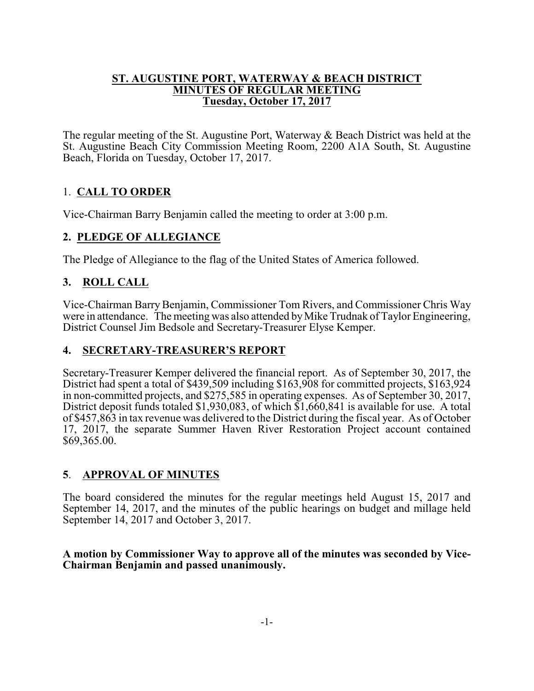#### **ST. AUGUSTINE PORT, WATERWAY & BEACH DISTRICT MINUTES OF REGULAR MEETING Tuesday, October 17, 2017**

The regular meeting of the St. Augustine Port, Waterway & Beach District was held at the St. Augustine Beach City Commission Meeting Room, 2200 A1A South, St. Augustine Beach, Florida on Tuesday, October 17, 2017.

# 1. **CALL TO ORDER**

Vice-Chairman Barry Benjamin called the meeting to order at 3:00 p.m.

# **2. PLEDGE OF ALLEGIANCE**

The Pledge of Allegiance to the flag of the United States of America followed.

# **3. ROLL CALL**

Vice-Chairman Barry Benjamin, Commissioner Tom Rivers, and Commissioner Chris Way were in attendance. The meeting was also attended by Mike Trudnak of Taylor Engineering, District Counsel Jim Bedsole and Secretary-Treasurer Elyse Kemper.

# **4. SECRETARY-TREASURER'S REPORT**

Secretary-Treasurer Kemper delivered the financial report. As of September 30, 2017, the District had spent a total of \$439,509 including \$163,908 for committed projects, \$163,924 in non-committed projects, and \$275,585 in operating expenses. As of September 30, 2017, District deposit funds totaled \$1,930,083, of which \$1,660,841 is available for use. A total of \$457,863 in tax revenue was delivered to the District during the fiscal year. As of October 17, 2017, the separate Summer Haven River Restoration Project account contained \$69,365.00.

# **5**. **APPROVAL OF MINUTES**

The board considered the minutes for the regular meetings held August 15, 2017 and September 14, 2017, and the minutes of the public hearings on budget and millage held September 14, 2017 and October 3, 2017.

### **A motion by Commissioner Way to approve all of the minutes was seconded by Vice-Chairman Benjamin and passed unanimously.**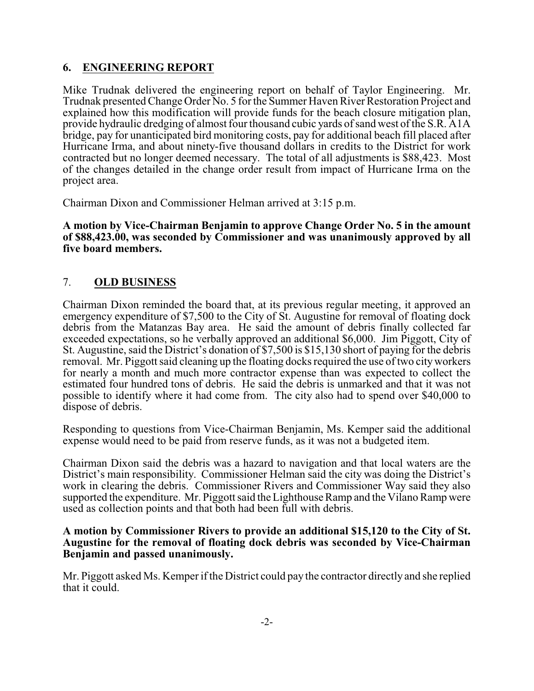# **6. ENGINEERING REPORT**

Mike Trudnak delivered the engineering report on behalf of Taylor Engineering. Mr. Trudnak presented Change Order No. 5 for the Summer Haven River Restoration Project and explained how this modification will provide funds for the beach closure mitigation plan, provide hydraulic dredging of almost four thousand cubic yards of sand west of the S.R. A1A bridge, pay for unanticipated bird monitoring costs, pay for additional beach fill placed after Hurricane Irma, and about ninety-five thousand dollars in credits to the District for work contracted but no longer deemed necessary. The total of all adjustments is \$88,423. Most of the changes detailed in the change order result from impact of Hurricane Irma on the project area.

Chairman Dixon and Commissioner Helman arrived at 3:15 p.m.

**A motion by Vice-Chairman Benjamin to approve Change Order No. 5 in the amount of \$88,423.00, was seconded by Commissioner and was unanimously approved by all five board members.**

# 7. **OLD BUSINESS**

Chairman Dixon reminded the board that, at its previous regular meeting, it approved an emergency expenditure of \$7,500 to the City of St. Augustine for removal of floating dock debris from the Matanzas Bay area. He said the amount of debris finally collected far exceeded expectations, so he verbally approved an additional \$6,000. Jim Piggott, City of St. Augustine, said the District's donation of \$7,500 is \$15,130 short of paying for the debris removal. Mr. Piggott said cleaning up the floating docks required the use of two cityworkers for nearly a month and much more contractor expense than was expected to collect the estimated four hundred tons of debris. He said the debris is unmarked and that it was not possible to identify where it had come from. The city also had to spend over \$40,000 to dispose of debris.

Responding to questions from Vice-Chairman Benjamin, Ms. Kemper said the additional expense would need to be paid from reserve funds, as it was not a budgeted item.

Chairman Dixon said the debris was a hazard to navigation and that local waters are the District's main responsibility. Commissioner Helman said the city was doing the District's work in clearing the debris. Commissioner Rivers and Commissioner Way said they also supported the expenditure. Mr. Piggott said the Lighthouse Ramp and the Vilano Ramp were used as collection points and that both had been full with debris.

#### **A motion by Commissioner Rivers to provide an additional \$15,120 to the City of St. Augustine for the removal of floating dock debris was seconded by Vice-Chairman Benjamin and passed unanimously.**

Mr. Piggott asked Ms. Kemper if the District could pay the contractor directly and she replied that it could.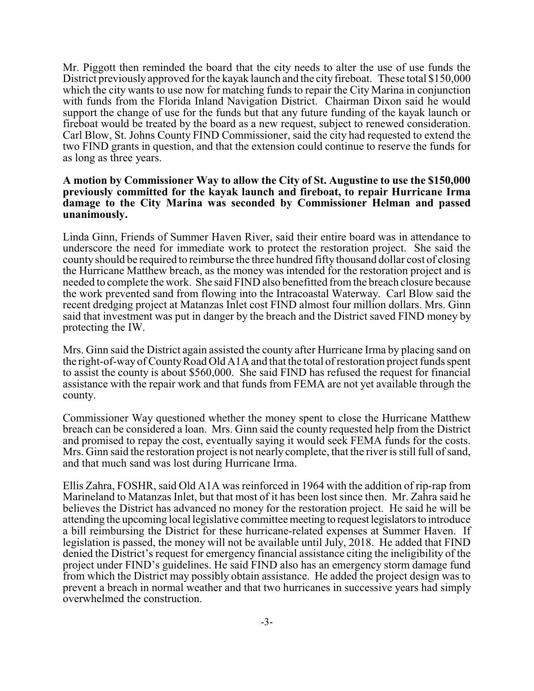Mr. Piggott then reminded the board that the city needs to alter the use of use funds the District previously approved for the kayak launch and the city fireboat. These total \$150,000 which the city wants to use now for matching funds to repair the City Marina in conjunction with funds from the Florida Inland Navigation District. Chairman Dixon said he would support the change of use for the funds but that any future funding of the kayak launch or fireboat would be treated by the board as a new request, subject to renewed consideration. Carl Blow, St. Johns County FIND Commissioner, said the city had requested to extend the two FIND grants in question, and that the extension could continue to reserve the funds for as long as three years.

#### **A motion by Commissioner Way to allow the City of St. Augustine to use the \$150,000 previously committed for the kayak launch and fireboat, to repair Hurricane Irma damage to the City Marina was seconded by Commissioner Helman and passed unanimously.**

Linda Ginn, Friends of Summer Haven River, said their entire board was in attendance to underscore the need for immediate work to protect the restoration project. She said the county should be required to reimburse the three hundred fifty thousand dollar cost of closing the Hurricane Matthew breach, as the money was intended for the restoration project and is needed to complete the work. She said FIND also benefitted fromthe breach closure because the work prevented sand from flowing into the Intracoastal Waterway. Carl Blow said the recent dredging project at Matanzas Inlet cost FIND almost four million dollars. Mrs. Ginn said that investment was put in danger by the breach and the District saved FIND money by protecting the IW.

Mrs. Ginn said the District again assisted the county after Hurricane Irma by placing sand on the right-of-way of CountyRoad Old A1A and that the total of restoration project funds spent to assist the county is about \$560,000. She said FIND has refused the request for financial assistance with the repair work and that funds from FEMA are not yet available through the county.

Commissioner Way questioned whether the money spent to close the Hurricane Matthew breach can be considered a loan. Mrs. Ginn said the county requested help from the District and promised to repay the cost, eventually saying it would seek FEMA funds for the costs. Mrs. Ginn said the restoration project is not nearly complete, that the river is still full of sand, and that much sand was lost during Hurricane Irma.

Ellis Zahra, FOSHR, said Old A1A was reinforced in 1964 with the addition of rip-rap from Marineland to Matanzas Inlet, but that most of it has been lost since then. Mr. Zahra said he believes the District has advanced no money for the restoration project. He said he will be attending the upcoming local legislative committee meeting to request legislators to introduce a bill reimbursing the District for these hurricane-related expenses at Summer Haven. If legislation is passed, the money will not be available until July, 2018. He added that FIND denied the District's request for emergency financial assistance citing the ineligibility of the project under FIND's guidelines. He said FIND also has an emergency storm damage fund from which the District may possibly obtain assistance. He added the project design was to prevent a breach in normal weather and that two hurricanes in successive years had simply overwhelmed the construction.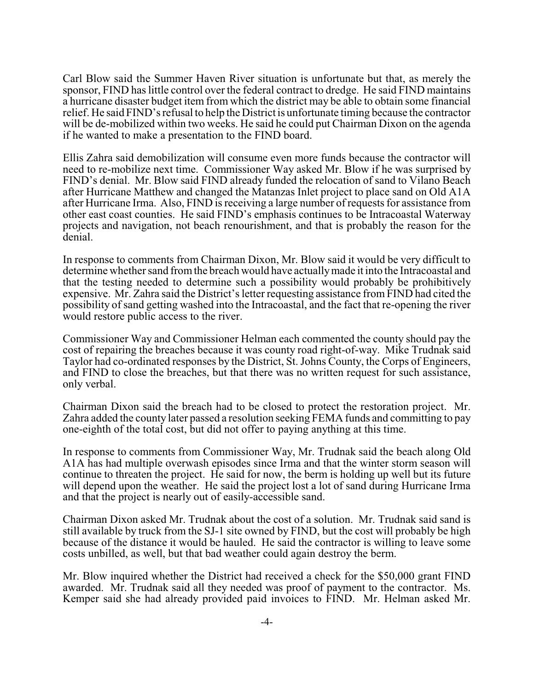Carl Blow said the Summer Haven River situation is unfortunate but that, as merely the sponsor, FIND has little control over the federal contract to dredge. He said FIND maintains a hurricane disaster budget item from which the district may be able to obtain some financial relief. He said FIND's refusal to help the District is unfortunate timing because the contractor will be de-mobilized within two weeks. He said he could put Chairman Dixon on the agenda if he wanted to make a presentation to the FIND board.

Ellis Zahra said demobilization will consume even more funds because the contractor will need to re-mobilize next time. Commissioner Way asked Mr. Blow if he was surprised by FIND's denial. Mr. Blow said FIND already funded the relocation of sand to Vilano Beach after Hurricane Matthew and changed the Matanzas Inlet project to place sand on Old A1A after Hurricane Irma. Also, FIND is receiving a large number of requests for assistance from other east coast counties. He said FIND's emphasis continues to be Intracoastal Waterway projects and navigation, not beach renourishment, and that is probably the reason for the denial.

In response to comments from Chairman Dixon, Mr. Blow said it would be very difficult to determine whether sand fromthe breach would have actuallymade it into the Intracoastal and that the testing needed to determine such a possibility would probably be prohibitively expensive. Mr. Zahra said the District's letter requesting assistance from FIND had cited the possibility of sand getting washed into the Intracoastal, and the fact that re-opening the river would restore public access to the river.

Commissioner Way and Commissioner Helman each commented the county should pay the cost of repairing the breaches because it was county road right-of-way. Mike Trudnak said Taylor had co-ordinated responses by the District, St. Johns County, the Corps of Engineers, and FIND to close the breaches, but that there was no written request for such assistance, only verbal.

Chairman Dixon said the breach had to be closed to protect the restoration project. Mr. Zahra added the county later passed a resolution seeking FEMA funds and committing to pay one-eighth of the total cost, but did not offer to paying anything at this time.

In response to comments from Commissioner Way, Mr. Trudnak said the beach along Old A1A has had multiple overwash episodes since Irma and that the winter storm season will continue to threaten the project. He said for now, the berm is holding up well but its future will depend upon the weather. He said the project lost a lot of sand during Hurricane Irma and that the project is nearly out of easily-accessible sand.

Chairman Dixon asked Mr. Trudnak about the cost of a solution. Mr. Trudnak said sand is still available by truck from the SJ-1 site owned by FIND, but the cost will probably be high because of the distance it would be hauled. He said the contractor is willing to leave some costs unbilled, as well, but that bad weather could again destroy the berm.

Mr. Blow inquired whether the District had received a check for the \$50,000 grant FIND awarded. Mr. Trudnak said all they needed was proof of payment to the contractor. Ms. Kemper said she had already provided paid invoices to FIND. Mr. Helman asked Mr.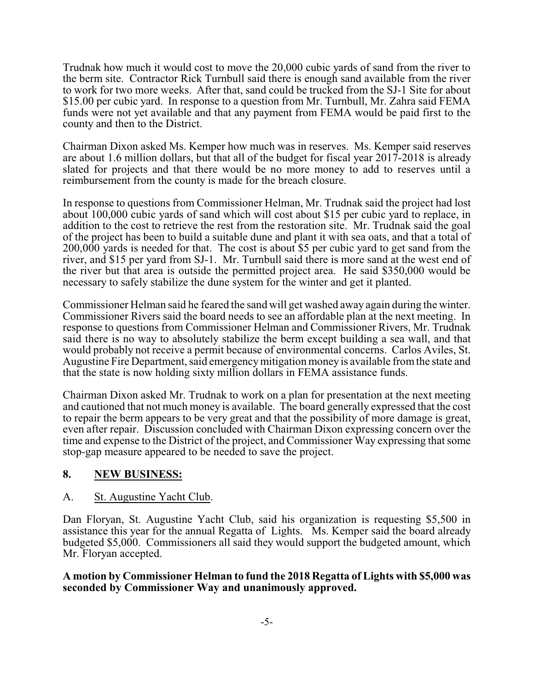Trudnak how much it would cost to move the 20,000 cubic yards of sand from the river to the berm site. Contractor Rick Turnbull said there is enough sand available from the river to work for two more weeks. After that, sand could be trucked from the SJ-1 Site for about \$15.00 per cubic yard. In response to a question from Mr. Turnbull, Mr. Zahra said FEMA funds were not yet available and that any payment from FEMA would be paid first to the county and then to the District.

Chairman Dixon asked Ms. Kemper how much was in reserves. Ms. Kemper said reserves are about 1.6 million dollars, but that all of the budget for fiscal year 2017-2018 is already slated for projects and that there would be no more money to add to reserves until a reimbursement from the county is made for the breach closure.

In response to questions from Commissioner Helman, Mr. Trudnak said the project had lost about 100,000 cubic yards of sand which will cost about \$15 per cubic yard to replace, in addition to the cost to retrieve the rest from the restoration site. Mr. Trudnak said the goal of the project has been to build a suitable dune and plant it with sea oats, and that a total of 200,000 yards is needed for that. The cost is about \$5 per cubic yard to get sand from the river, and \$15 per yard from SJ-1. Mr. Turnbull said there is more sand at the west end of the river but that area is outside the permitted project area. He said \$350,000 would be necessary to safely stabilize the dune system for the winter and get it planted.

Commissioner Helman said he feared the sand will get washed away again during the winter. Commissioner Rivers said the board needs to see an affordable plan at the next meeting. In response to questions from Commissioner Helman and Commissioner Rivers, Mr. Trudnak said there is no way to absolutely stabilize the berm except building a sea wall, and that would probably not receive a permit because of environmental concerns. Carlos Aviles, St. Augustine Fire Department, said emergencymitigation money is available fromthe state and that the state is now holding sixty million dollars in FEMA assistance funds.

Chairman Dixon asked Mr. Trudnak to work on a plan for presentation at the next meeting and cautioned that not much money is available. The board generally expressed that the cost to repair the berm appears to be very great and that the possibility of more damage is great, even after repair. Discussion concluded with Chairman Dixon expressing concern over the time and expense to the District of the project, and Commissioner Way expressing that some stop-gap measure appeared to be needed to save the project.

### **8. NEW BUSINESS:**

### A. St. Augustine Yacht Club.

Dan Floryan, St. Augustine Yacht Club, said his organization is requesting \$5,500 in assistance this year for the annual Regatta of Lights. Ms. Kemper said the board already budgeted \$5,000. Commissioners all said they would support the budgeted amount, which Mr. Floryan accepted.

**A motion by Commissioner Helman to fund the 2018 Regatta of Lights with \$5,000 was seconded by Commissioner Way and unanimously approved.**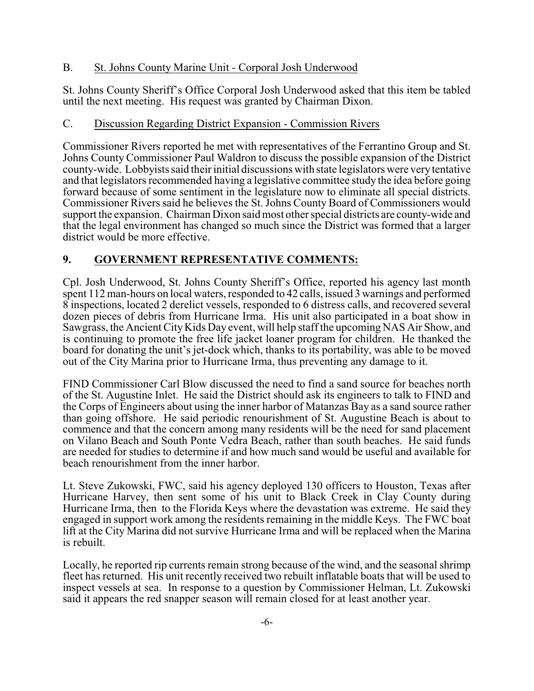# B. St. Johns County Marine Unit - Corporal Josh Underwood

St. Johns County Sheriff's Office Corporal Josh Underwood asked that this item be tabled until the next meeting. His request was granted by Chairman Dixon.

### C. Discussion Regarding District Expansion - Commission Rivers

Commissioner Rivers reported he met with representatives of the Ferrantino Group and St. Johns County Commissioner Paul Waldron to discuss the possible expansion of the District county-wide. Lobbyists said their initial discussions with state legislators were verytentative and that legislators recommended having a legislative committee study the idea before going forward because of some sentiment in the legislature now to eliminate all special districts. Commissioner Rivers said he believes the St. Johns CountyBoard of Commissioners would support the expansion. Chairman Dixon said most other special districts are county-wide and that the legal environment has changed so much since the District was formed that a larger district would be more effective.

# **9. GOVERNMENT REPRESENTATIVE COMMENTS:**

Cpl. Josh Underwood, St. Johns County Sheriff's Office, reported his agency last month spent 112 man-hours on local waters, responded to 42 calls, issued 3 warnings and performed 8 inspections, located 2 derelict vessels, responded to 6 distress calls, and recovered several dozen pieces of debris from Hurricane Irma. His unit also participated in a boat show in Sawgrass, the Ancient City Kids Day event, will help staff the upcoming NAS Air Show, and is continuing to promote the free life jacket loaner program for children. He thanked the board for donating the unit's jet-dock which, thanks to its portability, was able to be moved out of the City Marina prior to Hurricane Irma, thus preventing any damage to it.

FIND Commissioner Carl Blow discussed the need to find a sand source for beaches north of the St. Augustine Inlet. He said the District should ask its engineers to talk to FIND and the Corps of Engineers about using the inner harbor of Matanzas Bay as a sand source rather than going offshore. He said periodic renourishment of St. Augustine Beach is about to commence and that the concern among many residents will be the need for sand placement on Vilano Beach and South Ponte Vedra Beach, rather than south beaches. He said funds are needed for studies to determine if and how much sand would be useful and available for beach renourishment from the inner harbor.

Lt. Steve Zukowski, FWC, said his agency deployed 130 officers to Houston, Texas after Hurricane Harvey, then sent some of his unit to Black Creek in Clay County during Hurricane Irma, then to the Florida Keys where the devastation was extreme. He said they engaged in support work among the residents remaining in the middle Keys. The FWC boat lift at the City Marina did not survive Hurricane Irma and will be replaced when the Marina is rebuilt.

Locally, he reported rip currents remain strong because of the wind, and the seasonal shrimp fleet has returned. His unit recently received two rebuilt inflatable boats that will be used to inspect vessels at sea. In response to a question by Commissioner Helman, Lt. Zukowski said it appears the red snapper season will remain closed for at least another year.